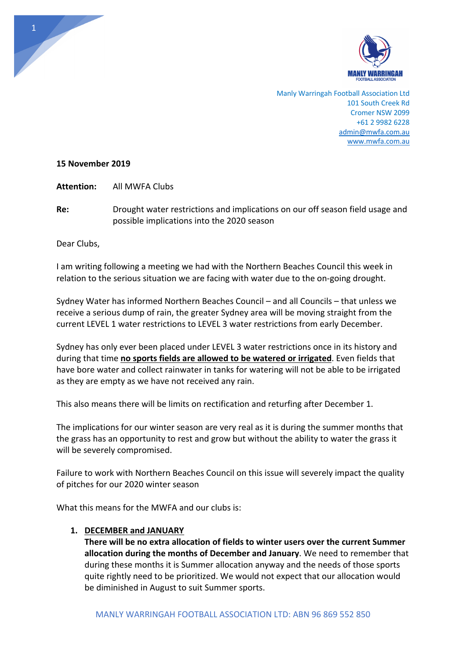

Manly Warringah Football Association Ltd 101 South Creek Rd Cromer NSW 2099 +61 2 9982 6228 admin@mwfa.com.au www.mwfa.com.au

# **15 November 2019**

**Attention:** All MWFA Clubs

**Re:** Drought water restrictions and implications on our off season field usage and possible implications into the 2020 season

Dear Clubs,

I am writing following a meeting we had with the Northern Beaches Council this week in relation to the serious situation we are facing with water due to the on-going drought.

Sydney Water has informed Northern Beaches Council – and all Councils – that unless we receive a serious dump of rain, the greater Sydney area will be moving straight from the current LEVEL 1 water restrictions to LEVEL 3 water restrictions from early December.

Sydney has only ever been placed under LEVEL 3 water restrictions once in its history and during that time **no sports fields are allowed to be watered or irrigated**. Even fields that have bore water and collect rainwater in tanks for watering will not be able to be irrigated as they are empty as we have not received any rain.

This also means there will be limits on rectification and returfing after December 1.

The implications for our winter season are very real as it is during the summer months that the grass has an opportunity to rest and grow but without the ability to water the grass it will be severely compromised.

Failure to work with Northern Beaches Council on this issue will severely impact the quality of pitches for our 2020 winter season

What this means for the MWFA and our clubs is:

# **1. DECEMBER and JANUARY**

**There will be no extra allocation of fields to winter users over the current Summer allocation during the months of December and January**. We need to remember that during these months it is Summer allocation anyway and the needs of those sports quite rightly need to be prioritized. We would not expect that our allocation would be diminished in August to suit Summer sports.

1